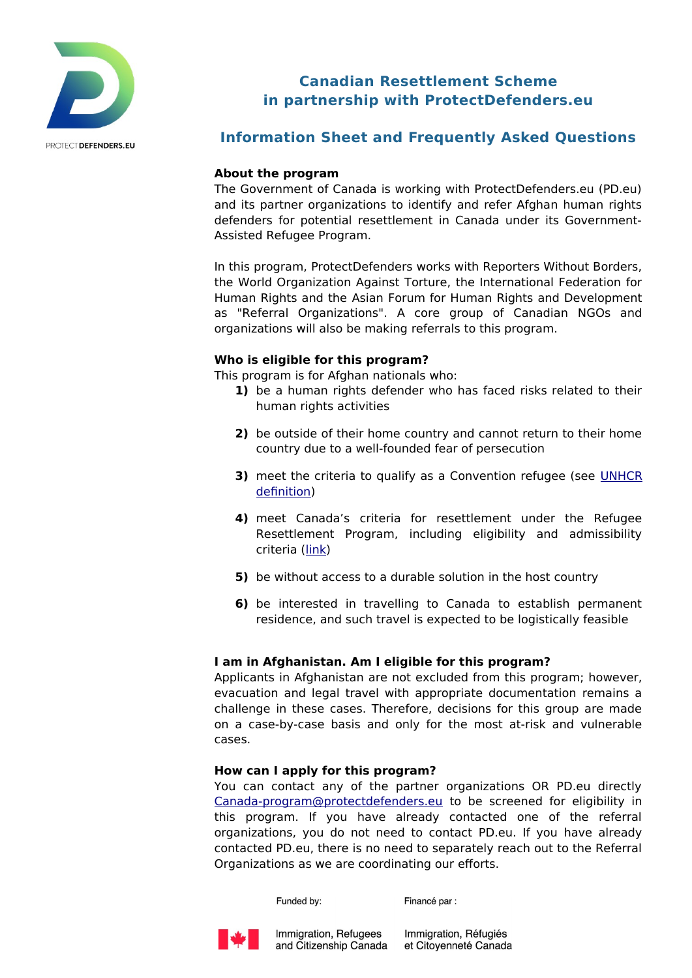

# **Canadian Resettlement Scheme in partnership with ProtectDefenders.eu**

## **Information Sheet and Frequently Asked Questions**

### **About the program**

The Government of Canada is working with ProtectDefenders.eu (PD.eu) and its partner organizations to identify and refer Afghan human rights defenders for potential resettlement in Canada under its Government-Assisted Refugee Program.

In this program, ProtectDefenders works with Reporters Without Borders, the World Organization Against Torture, the International Federation for Human Rights and the Asian Forum for Human Rights and Development as "Referral Organizations". A core group of Canadian NGOs and organizations will also be making referrals to this program.

### **Who is eligible for this program?**

This program is for Afghan nationals who:

- **1)** be a human rights defender who has faced risks related to their human rights activities
- **2)** be outside of their home country and cannot return to their home country due to a well-founded fear of persecution
- **3)** meet the criteria to qualify as a Convention refugee (see [UNHCR](https://www.unhcr.org/what-is-a-refugee.html) [definition\)](https://www.unhcr.org/what-is-a-refugee.html)
- **4)** meet Canada's criteria for resettlement under the Refugee Resettlement Program, including eligibility and admissibility criteria [\(link\)](https://www.canada.ca/en/immigration-refugees-citizenship/services/application/application-forms-guides/guide-6000-convention-refugees-abroad-humanitarian-protected-persons-abroad.html)
- **5)** be without access to a durable solution in the host country
- **6)** be interested in travelling to Canada to establish permanent residence, and such travel is expected to be logistically feasible

## **I am in Afghanistan. Am I eligible for this program?**

Applicants in Afghanistan are not excluded from this program; however, evacuation and legal travel with appropriate documentation remains a challenge in these cases. Therefore, decisions for this group are made on a case-by-case basis and only for the most at-risk and vulnerable cases.

#### **How can I apply for this program?**

You can contact any of the partner organizations OR PD.eu directly [Canada-program@protectdefenders.eu](mailto:Canadastream@protectdefenders.eu) to be screened for eligibility in this program. If you have already contacted one of the referral organizations, you do not need to contact PD.eu. If you have already contacted PD.eu, there is no need to separately reach out to the Referral Organizations as we are coordinating our efforts.

Funded by:

Financé par :



Immigration, Réfugiés et Citoyenneté Canada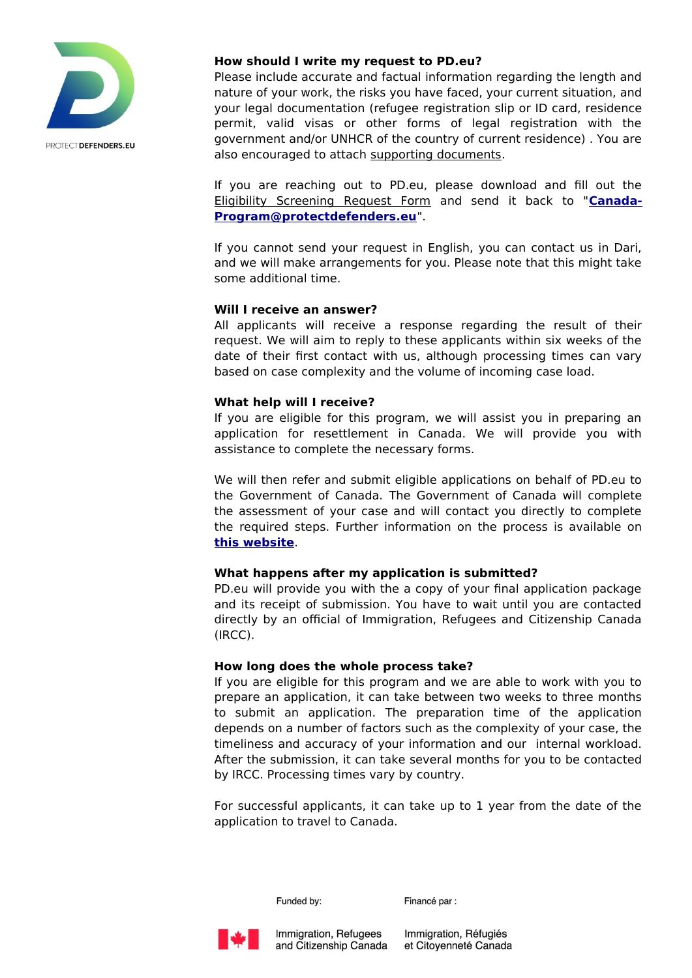

### **How should I write my request to PD.eu?**

Please include accurate and factual information regarding the length and nature of your work, the risks you have faced, your current situation, and your legal documentation (refugee registration slip or ID card, residence permit, valid visas or other forms of legal registration with the government and/or UNHCR of the country of current residence) . You are also encouraged to attach [supporting documents.](https://protectdefenders.eu/wp-content/uploads/2020/07/Supporting-Documents-checklist-ProtectDefenders_eu-Canada-Resettlement-Stream-v2.pdf)

If you are reaching out to PD.eu, please download and fill out the [Eligibility Screening Request Form](https://protectdefenders.eu/wp-content/uploads/2020/07/Eligibility-Screening-Request-ProtectDefenders_eu-Canada-Resettlement-Stream_eu-Canada-Resettlement-Stream.pdf) and send it back to "**[Canada-](mailto:Canada-Program@protectdefenders.eu)[Program@protectdefenders.eu](mailto:Canada-Program@protectdefenders.eu)**".

If you cannot send your request in English, you can contact us in Dari, and we will make arrangements for you. Please note that this might take some additional time.

### **Will I receive an answer?**

All applicants will receive a response regarding the result of their request. We will aim to reply to these applicants within six weeks of the date of their first contact with us, although processing times can vary based on case complexity and the volume of incoming case load.

### **What help will I receive?**

If you are eligible for this program, we will assist you in preparing an application for resettlement in Canada. We will provide you with assistance to complete the necessary forms.

We will then refer and submit eligible applications on behalf of PD.eu to the Government of Canada. The Government of Canada will complete the assessment of your case and will contact you directly to complete the required steps. Further information on the process is available on **[this website](https://www.canada.ca/en/immigration-refugees-citizenship/services/application/application-forms-guides/guide-6000-convention-refugees-abroad-humanitarian-protected-persons-abroad.html)**.

## **What happens after my application is submitted?**

PD.eu will provide you with the a copy of your final application package and its receipt of submission. You have to wait until you are contacted directly by an official of Immigration, Refugees and Citizenship Canada (IRCC).

#### **How long does the whole process take?**

If you are eligible for this program and we are able to work with you to prepare an application, it can take between two weeks to three months to submit an application. The preparation time of the application depends on a number of factors such as the complexity of your case, the timeliness and accuracy of your information and our internal workload. After the submission, it can take several months for you to be contacted by IRCC. Processing times vary by country.

For successful applicants, it can take up to 1 year from the date of the application to travel to Canada.

Funded by:

Financé par :



Immigration, Réfugiés et Citoyenneté Canada